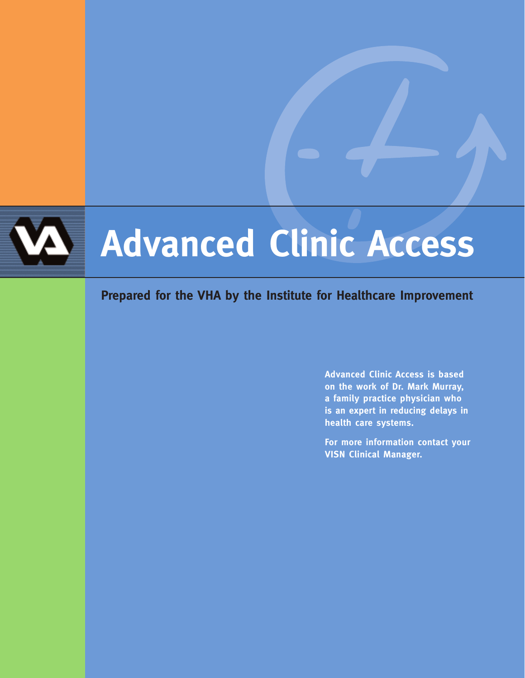# **Advanced Clinic Access**

## **Prepared for the VHA by the Institute for Healthcare Improvement**

**Advanced Clinic Access is based on the work of Dr. Mark Murray, a family practice physician who is an expert in reducing delays in health care systems.**

**For more information contact your VISN Clinical Manager.**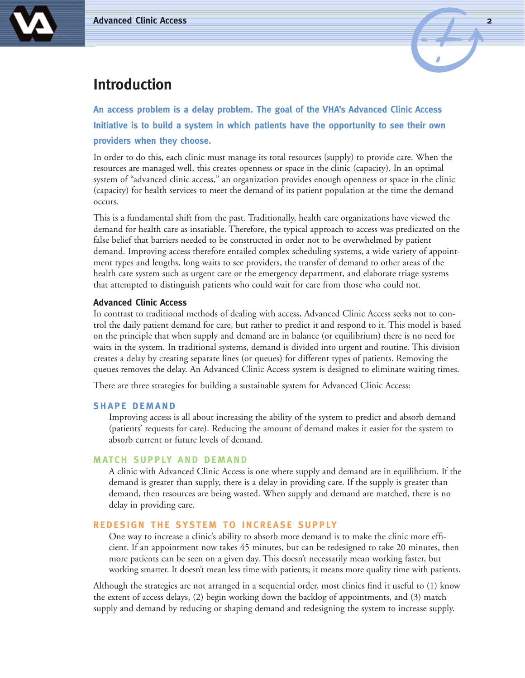



## **Introduction**

**An access problem is a delay problem. The goal of the VHA's Advanced Clinic Access Initiative is to build a system in which patients have the opportunity to see their own providers when they choose.**

In order to do this, each clinic must manage its total resources (supply) to provide care. When the resources are managed well, this creates openness or space in the clinic (capacity). In an optimal system of "advanced clinic access," an organization provides enough openness or space in the clinic (capacity) for health services to meet the demand of its patient population at the time the demand occurs.

This is a fundamental shift from the past. Traditionally, health care organizations have viewed the demand for health care as insatiable. Therefore, the typical approach to access was predicated on the false belief that barriers needed to be constructed in order not to be overwhelmed by patient demand. Improving access therefore entailed complex scheduling systems, a wide variety of appointment types and lengths, long waits to see providers, the transfer of demand to other areas of the health care system such as urgent care or the emergency department, and elaborate triage systems that attempted to distinguish patients who could wait for care from those who could not.

#### **Advanced Clinic Access**

In contrast to traditional methods of dealing with access, Advanced Clinic Access seeks not to control the daily patient demand for care, but rather to predict it and respond to it. This model is based on the principle that when supply and demand are in balance (or equilibrium) there is no need for waits in the system. In traditional systems, demand is divided into urgent and routine. This division creates a delay by creating separate lines (or queues) for different types of patients. Removing the queues removes the delay. An Advanced Clinic Access system is designed to eliminate waiting times.

There are three strategies for building a sustainable system for Advanced Clinic Access:

#### **SHAPE DEMAND**

Improving access is all about increasing the ability of the system to predict and absorb demand (patients' requests for care). Reducing the amount of demand makes it easier for the system to absorb current or future levels of demand.

#### **MATCH SUPPLY AND DEMAND**

A clinic with Advanced Clinic Access is one where supply and demand are in equilibrium. If the demand is greater than supply, there is a delay in providing care. If the supply is greater than demand, then resources are being wasted. When supply and demand are matched, there is no delay in providing care.

#### **REDESIGN THE SYSTEM TO INCREASE SUPPLY**

One way to increase a clinic's ability to absorb more demand is to make the clinic more efficient. If an appointment now takes 45 minutes, but can be redesigned to take 20 minutes, then more patients can be seen on a given day. This doesn't necessarily mean working faster, but working smarter. It doesn't mean less time with patients; it means more quality time with patients.

Although the strategies are not arranged in a sequential order, most clinics find it useful to (1) know the extent of access delays, (2) begin working down the backlog of appointments, and (3) match supply and demand by reducing or shaping demand and redesigning the system to increase supply.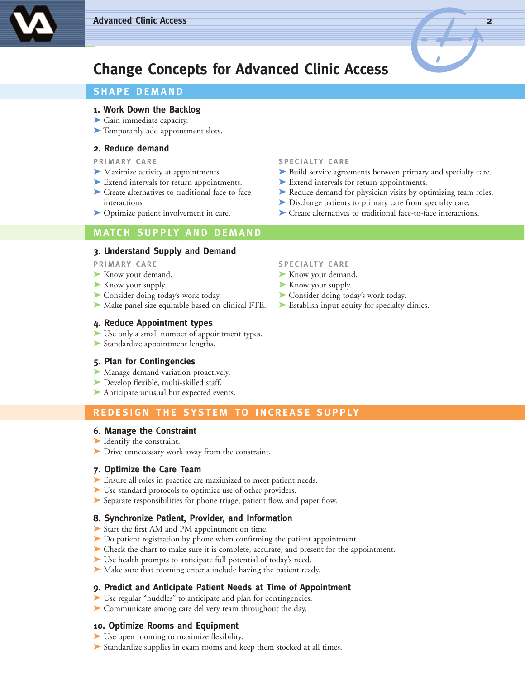



## **Change Concepts for Advanced Clinic Access**

#### **SHAPE DEMAND**

#### **1. Work Down the Backlog**

- ➤ Gain immediate capacity.
- ➤ Temporarily add appointment slots.

#### **2. Reduce demand**

- 
- 
- 
- 

#### **MATCH SUPPLY AND DEMAND**

#### **3. Understand Supply and Demand**

**PRIMARY CARE SPECIALTY CARE** 

- ► Know your demand. ► Know your demand.
- ► Know your supply. ★ Know your supply.
- 
- ▶ Make panel size equitable based on clinical FTE. ▶ Establish input equity for specialty clinics.

#### **4. Reduce Appointment types**

- ➤ Use only a small number of appointment types.
- ➤ Standardize appointment lengths.

#### **5. Plan for Contingencies**

- ➤ Manage demand variation proactively.
- ➤ Develop flexible, multi-skilled staff.
- ▶ Anticipate unusual but expected events.

#### **REDESIGN THE SYSTEM TO INCREASE SUPPLY**

#### **6. Manage the Constraint**

- ➤ Identify the constraint.
- ➤ Drive unnecessary work away from the constraint.

#### **7. Optimize the Care Team**

- ► Ensure all roles in practice are maximized to meet patient needs.
- ▶ Use standard protocols to optimize use of other providers.
- ▶ Separate responsibilities for phone triage, patient flow, and paper flow.

#### **8. Synchronize Patient, Provider, and Information**

- ➤ Start the first AM and PM appointment on time.
- ➤ Do patient registration by phone when confirming the patient appointment.
- ➤ Check the chart to make sure it is complete, accurate, and present for the appointment.
- ▶ Use health prompts to anticipate full potential of today's need.
- ➤ Make sure that rooming criteria include having the patient ready.

#### **9. Predict and Anticipate Patient Needs at Time of Appointment**

- ▶ Use regular "huddles" to anticipate and plan for contingencies.
- ➤ Communicate among care delivery team throughout the day.

#### **10. Optimize Rooms and Equipment**

- ► Use open rooming to maximize flexibility.
- ▶ Standardize supplies in exam rooms and keep them stocked at all times.

#### **PRIMARY CARE SPECIALTY CARE**

- ► Maximize activity at appointments. ► ► Build service agreements between primary and specialty care.
- ► Extend intervals for return appointments. ► Extend intervals for return appointments.
- ► Create alternatives to traditional face-to-face ► Reduce demand for physician visits by optimizing team roles.
	- ➤ interactions ➤ Discharge patients to primary care from specialty care.
- ► Optimize patient involvement in care. <br>► Create alternatives to traditional face-to-face interactions.

- 
- 
- ► Consider doing today's work today. ► △ Consider doing today's work today.
	-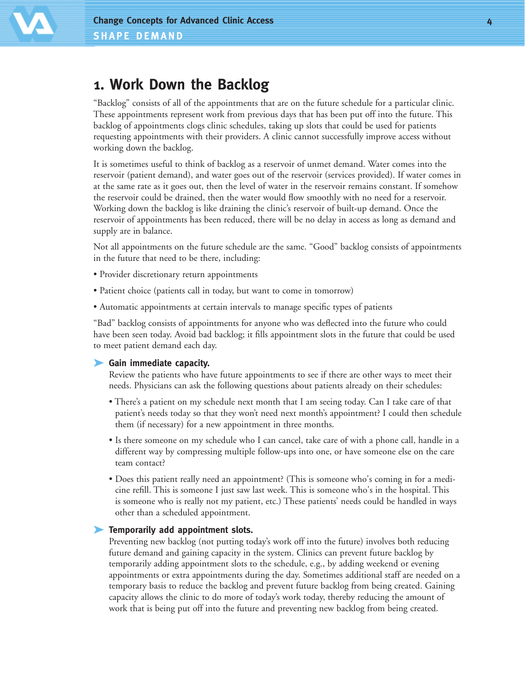## **1. Work Down the Backlog**

"Backlog" consists of all of the appointments that are on the future schedule for a particular clinic. These appointments represent work from previous days that has been put off into the future. This backlog of appointments clogs clinic schedules, taking up slots that could be used for patients requesting appointments with their providers. A clinic cannot successfully improve access without working down the backlog.

It is sometimes useful to think of backlog as a reservoir of unmet demand. Water comes into the reservoir (patient demand), and water goes out of the reservoir (services provided). If water comes in at the same rate as it goes out, then the level of water in the reservoir remains constant. If somehow the reservoir could be drained, then the water would flow smoothly with no need for a reservoir. Working down the backlog is like draining the clinic's reservoir of built-up demand. Once the reservoir of appointments has been reduced, there will be no delay in access as long as demand and supply are in balance.

Not all appointments on the future schedule are the same. "Good" backlog consists of appointments in the future that need to be there, including:

- Provider discretionary return appointments
- Patient choice (patients call in today, but want to come in tomorrow)
- Automatic appointments at certain intervals to manage specific types of patients

"Bad" backlog consists of appointments for anyone who was deflected into the future who could have been seen today. Avoid bad backlog; it fills appointment slots in the future that could be used to meet patient demand each day.

### ➤ **Gain immediate capacity.**

Review the patients who have future appointments to see if there are other ways to meet their needs. Physicians can ask the following questions about patients already on their schedules:

- There's a patient on my schedule next month that I am seeing today. Can I take care of that patient's needs today so that they won't need next month's appointment? I could then schedule them (if necessary) for a new appointment in three months.
- Is there someone on my schedule who I can cancel, take care of with a phone call, handle in a different way by compressing multiple follow-ups into one, or have someone else on the care team contact?
- Does this patient really need an appointment? (This is someone who's coming in for a medicine refill. This is someone I just saw last week. This is someone who's in the hospital. This is someone who is really not my patient, etc.) These patients' needs could be handled in ways other than a scheduled appointment.

### ➤ **Temporarily add appointment slots.**

Preventing new backlog (not putting today's work off into the future) involves both reducing future demand and gaining capacity in the system. Clinics can prevent future backlog by temporarily adding appointment slots to the schedule, e.g., by adding weekend or evening appointments or extra appointments during the day. Sometimes additional staff are needed on a temporary basis to reduce the backlog and prevent future backlog from being created. Gaining capacity allows the clinic to do more of today's work today, thereby reducing the amount of work that is being put off into the future and preventing new backlog from being created.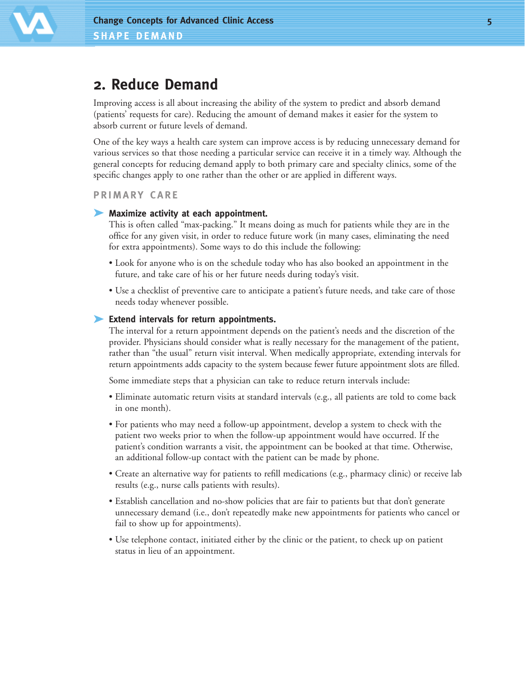

## **2. Reduce Demand**

Improving access is all about increasing the ability of the system to predict and absorb demand (patients' requests for care). Reducing the amount of demand makes it easier for the system to absorb current or future levels of demand.

One of the key ways a health care system can improve access is by reducing unnecessary demand for various services so that those needing a particular service can receive it in a timely way. Although the general concepts for reducing demand apply to both primary care and specialty clinics, some of the specific changes apply to one rather than the other or are applied in different ways.

**PRIMARY CARE**

#### ➤ **Maximize activity at each appointment.**

This is often called "max-packing." It means doing as much for patients while they are in the office for any given visit, in order to reduce future work (in many cases, eliminating the need for extra appointments). Some ways to do this include the following:

- Look for anyone who is on the schedule today who has also booked an appointment in the future, and take care of his or her future needs during today's visit.
- Use a checklist of preventive care to anticipate a patient's future needs, and take care of those needs today whenever possible.

#### ➤ **Extend intervals for return appointments.**

The interval for a return appointment depends on the patient's needs and the discretion of the provider. Physicians should consider what is really necessary for the management of the patient, rather than "the usual" return visit interval. When medically appropriate, extending intervals for return appointments adds capacity to the system because fewer future appointment slots are filled.

Some immediate steps that a physician can take to reduce return intervals include:

- Eliminate automatic return visits at standard intervals (e.g., all patients are told to come back in one month).
- For patients who may need a follow-up appointment, develop a system to check with the patient two weeks prior to when the follow-up appointment would have occurred. If the patient's condition warrants a visit, the appointment can be booked at that time. Otherwise, an additional follow-up contact with the patient can be made by phone.
- Create an alternative way for patients to refill medications (e.g., pharmacy clinic) or receive lab results (e.g., nurse calls patients with results).
- Establish cancellation and no-show policies that are fair to patients but that don't generate unnecessary demand (i.e., don't repeatedly make new appointments for patients who cancel or fail to show up for appointments).
- Use telephone contact, initiated either by the clinic or the patient, to check up on patient status in lieu of an appointment.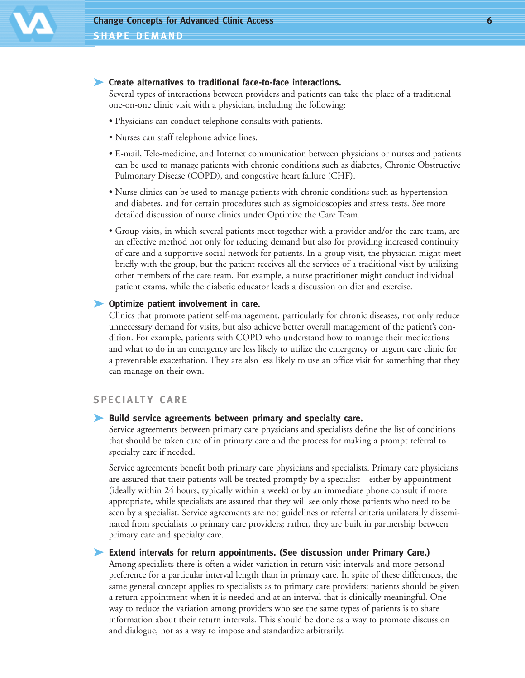

#### ➤ **Create alternatives to traditional face-to-face interactions.**

Several types of interactions between providers and patients can take the place of a traditional one-on-one clinic visit with a physician, including the following:

- Physicians can conduct telephone consults with patients.
- Nurses can staff telephone advice lines.
- E-mail, Tele-medicine, and Internet communication between physicians or nurses and patients can be used to manage patients with chronic conditions such as diabetes, Chronic Obstructive Pulmonary Disease (COPD), and congestive heart failure (CHF).
- Nurse clinics can be used to manage patients with chronic conditions such as hypertension and diabetes, and for certain procedures such as sigmoidoscopies and stress tests. See more detailed discussion of nurse clinics under Optimize the Care Team.
- Group visits, in which several patients meet together with a provider and/or the care team, are an effective method not only for reducing demand but also for providing increased continuity of care and a supportive social network for patients. In a group visit, the physician might meet briefly with the group, but the patient receives all the services of a traditional visit by utilizing other members of the care team. For example, a nurse practitioner might conduct individual patient exams, while the diabetic educator leads a discussion on diet and exercise.

#### ➤ **Optimize patient involvement in care.**

Clinics that promote patient self-management, particularly for chronic diseases, not only reduce unnecessary demand for visits, but also achieve better overall management of the patient's condition. For example, patients with COPD who understand how to manage their medications and what to do in an emergency are less likely to utilize the emergency or urgent care clinic for a preventable exacerbation. They are also less likely to use an office visit for something that they can manage on their own.

#### **SPECIALTY CARE**

#### ➤ **Build service agreements between primary and specialty care.**

Service agreements between primary care physicians and specialists define the list of conditions that should be taken care of in primary care and the process for making a prompt referral to specialty care if needed.

Service agreements benefit both primary care physicians and specialists. Primary care physicians are assured that their patients will be treated promptly by a specialist—either by appointment (ideally within 24 hours, typically within a week) or by an immediate phone consult if more appropriate, while specialists are assured that they will see only those patients who need to be seen by a specialist. Service agreements are not guidelines or referral criteria unilaterally disseminated from specialists to primary care providers; rather, they are built in partnership between primary care and specialty care.

#### ➤ **Extend intervals for return appointments. (See discussion under Primary Care.)**

Among specialists there is often a wider variation in return visit intervals and more personal preference for a particular interval length than in primary care. In spite of these differences, the same general concept applies to specialists as to primary care providers: patients should be given a return appointment when it is needed and at an interval that is clinically meaningful. One way to reduce the variation among providers who see the same types of patients is to share information about their return intervals. This should be done as a way to promote discussion and dialogue, not as a way to impose and standardize arbitrarily.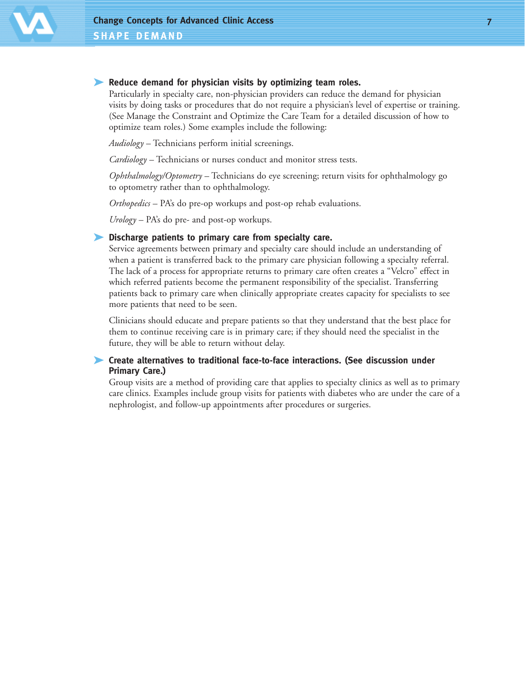#### ➤ **Reduce demand for physician visits by optimizing team roles.**

Particularly in specialty care, non-physician providers can reduce the demand for physician visits by doing tasks or procedures that do not require a physician's level of expertise or training. (See Manage the Constraint and Optimize the Care Team for a detailed discussion of how to optimize team roles.) Some examples include the following:

*Audiology* – Technicians perform initial screenings.

*Cardiology* – Technicians or nurses conduct and monitor stress tests.

*Ophthalmology/Optometry* – Technicians do eye screening; return visits for ophthalmology go to optometry rather than to ophthalmology.

*Orthopedics* – PA's do pre-op workups and post-op rehab evaluations.

*Urology* – PA's do pre- and post-op workups.

#### ➤ **Discharge patients to primary care from specialty care.**

Service agreements between primary and specialty care should include an understanding of when a patient is transferred back to the primary care physician following a specialty referral. The lack of a process for appropriate returns to primary care often creates a "Velcro" effect in which referred patients become the permanent responsibility of the specialist. Transferring patients back to primary care when clinically appropriate creates capacity for specialists to see more patients that need to be seen.

Clinicians should educate and prepare patients so that they understand that the best place for them to continue receiving care is in primary care; if they should need the specialist in the future, they will be able to return without delay.

#### ➤ **Create alternatives to traditional face-to-face interactions. (See discussion under Primary Care.)**

Group visits are a method of providing care that applies to specialty clinics as well as to primary care clinics. Examples include group visits for patients with diabetes who are under the care of a nephrologist, and follow-up appointments after procedures or surgeries.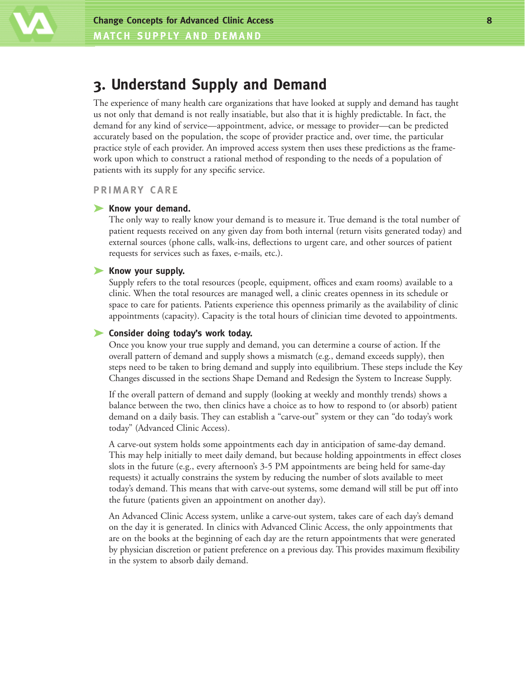

## **3. Understand Supply and Demand**

The experience of many health care organizations that have looked at supply and demand has taught us not only that demand is not really insatiable, but also that it is highly predictable. In fact, the demand for any kind of service—appointment, advice, or message to provider—can be predicted accurately based on the population, the scope of provider practice and, over time, the particular practice style of each provider. An improved access system then uses these predictions as the framework upon which to construct a rational method of responding to the needs of a population of patients with its supply for any specific service.

#### **PRIMARY CARE**

#### ➤ **Know your demand.**

The only way to really know your demand is to measure it. True demand is the total number of patient requests received on any given day from both internal (return visits generated today) and external sources (phone calls, walk-ins, deflections to urgent care, and other sources of patient requests for services such as faxes, e-mails, etc.).

#### ➤ **Know your supply.**

Supply refers to the total resources (people, equipment, offices and exam rooms) available to a clinic. When the total resources are managed well, a clinic creates openness in its schedule or space to care for patients. Patients experience this openness primarily as the availability of clinic appointments (capacity). Capacity is the total hours of clinician time devoted to appointments.

#### ➤ **Consider doing today's work today.**

Once you know your true supply and demand, you can determine a course of action. If the overall pattern of demand and supply shows a mismatch (e.g., demand exceeds supply), then steps need to be taken to bring demand and supply into equilibrium. These steps include the Key Changes discussed in the sections Shape Demand and Redesign the System to Increase Supply.

If the overall pattern of demand and supply (looking at weekly and monthly trends) shows a balance between the two, then clinics have a choice as to how to respond to (or absorb) patient demand on a daily basis. They can establish a "carve-out" system or they can "do today's work today" (Advanced Clinic Access).

A carve-out system holds some appointments each day in anticipation of same-day demand. This may help initially to meet daily demand, but because holding appointments in effect closes slots in the future (e.g., every afternoon's 3-5 PM appointments are being held for same-day requests) it actually constrains the system by reducing the number of slots available to meet today's demand. This means that with carve-out systems, some demand will still be put off into the future (patients given an appointment on another day).

An Advanced Clinic Access system, unlike a carve-out system, takes care of each day's demand on the day it is generated. In clinics with Advanced Clinic Access, the only appointments that are on the books at the beginning of each day are the return appointments that were generated by physician discretion or patient preference on a previous day. This provides maximum flexibility in the system to absorb daily demand.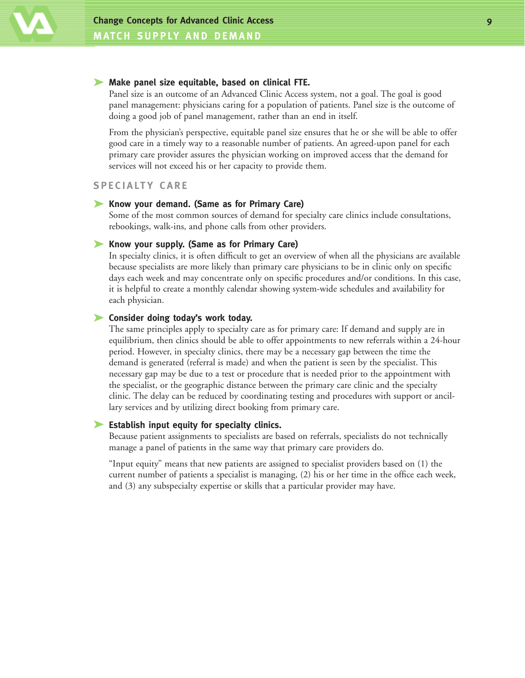

#### ➤ **Make panel size equitable, based on clinical FTE.**

Panel size is an outcome of an Advanced Clinic Access system, not a goal. The goal is good panel management: physicians caring for a population of patients. Panel size is the outcome of doing a good job of panel management, rather than an end in itself.

From the physician's perspective, equitable panel size ensures that he or she will be able to offer good care in a timely way to a reasonable number of patients. An agreed-upon panel for each primary care provider assures the physician working on improved access that the demand for services will not exceed his or her capacity to provide them.

#### **SPECIALTY CARE**

#### ➤ **Know your demand. (Same as for Primary Care)**

Some of the most common sources of demand for specialty care clinics include consultations, rebookings, walk-ins, and phone calls from other providers.

#### ➤ **Know your supply. (Same as for Primary Care)**

In specialty clinics, it is often difficult to get an overview of when all the physicians are available because specialists are more likely than primary care physicians to be in clinic only on specific days each week and may concentrate only on specific procedures and/or conditions. In this case, it is helpful to create a monthly calendar showing system-wide schedules and availability for each physician.

#### ➤ **Consider doing today's work today.**

The same principles apply to specialty care as for primary care: If demand and supply are in equilibrium, then clinics should be able to offer appointments to new referrals within a 24-hour period. However, in specialty clinics, there may be a necessary gap between the time the demand is generated (referral is made) and when the patient is seen by the specialist. This necessary gap may be due to a test or procedure that is needed prior to the appointment with the specialist, or the geographic distance between the primary care clinic and the specialty clinic. The delay can be reduced by coordinating testing and procedures with support or ancillary services and by utilizing direct booking from primary care.

#### ➤ **Establish input equity for specialty clinics.**

Because patient assignments to specialists are based on referrals, specialists do not technically manage a panel of patients in the same way that primary care providers do.

"Input equity" means that new patients are assigned to specialist providers based on (1) the current number of patients a specialist is managing, (2) his or her time in the office each week, and (3) any subspecialty expertise or skills that a particular provider may have.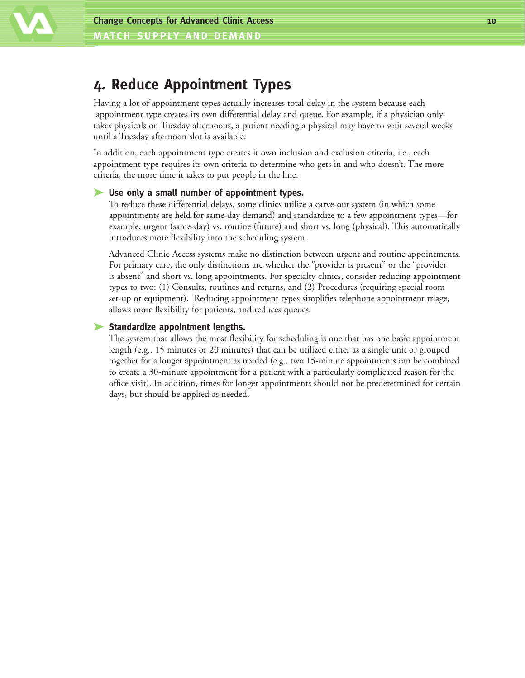

## **4. Reduce Appointment Types**

Having a lot of appointment types actually increases total delay in the system because each appointment type creates its own differential delay and queue. For example, if a physician only takes physicals on Tuesday afternoons, a patient needing a physical may have to wait several weeks until a Tuesday afternoon slot is available.

In addition, each appointment type creates it own inclusion and exclusion criteria, i.e., each appointment type requires its own criteria to determine who gets in and who doesn't. The more criteria, the more time it takes to put people in the line.

#### ➤ **Use only a small number of appointment types.**

To reduce these differential delays, some clinics utilize a carve-out system (in which some appointments are held for same-day demand) and standardize to a few appointment types—for example, urgent (same-day) vs. routine (future) and short vs. long (physical). This automatically introduces more flexibility into the scheduling system.

Advanced Clinic Access systems make no distinction between urgent and routine appointments. For primary care, the only distinctions are whether the "provider is present" or the "provider is absent" and short vs. long appointments. For specialty clinics, consider reducing appointment types to two: (1) Consults, routines and returns, and (2) Procedures (requiring special room set-up or equipment). Reducing appointment types simplifies telephone appointment triage, allows more flexibility for patients, and reduces queues.

#### ➤ **Standardize appointment lengths.**

The system that allows the most flexibility for scheduling is one that has one basic appointment length (e.g., 15 minutes or 20 minutes) that can be utilized either as a single unit or grouped together for a longer appointment as needed (e.g., two 15-minute appointments can be combined to create a 30-minute appointment for a patient with a particularly complicated reason for the office visit). In addition, times for longer appointments should not be predetermined for certain days, but should be applied as needed.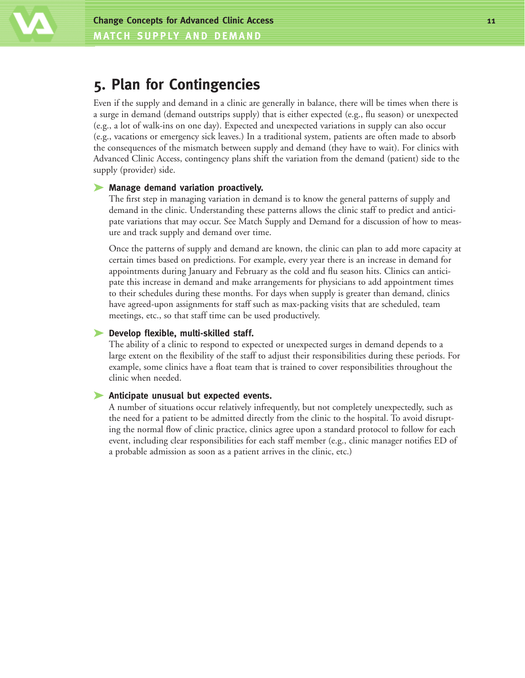

## **5. Plan for Contingencies**

Even if the supply and demand in a clinic are generally in balance, there will be times when there is a surge in demand (demand outstrips supply) that is either expected (e.g., flu season) or unexpected (e.g., a lot of walk-ins on one day). Expected and unexpected variations in supply can also occur (e.g., vacations or emergency sick leaves.) In a traditional system, patients are often made to absorb the consequences of the mismatch between supply and demand (they have to wait). For clinics with Advanced Clinic Access, contingency plans shift the variation from the demand (patient) side to the supply (provider) side.

#### ➤ **Manage demand variation proactively.**

The first step in managing variation in demand is to know the general patterns of supply and demand in the clinic. Understanding these patterns allows the clinic staff to predict and anticipate variations that may occur. See Match Supply and Demand for a discussion of how to measure and track supply and demand over time.

Once the patterns of supply and demand are known, the clinic can plan to add more capacity at certain times based on predictions. For example, every year there is an increase in demand for appointments during January and February as the cold and flu season hits. Clinics can anticipate this increase in demand and make arrangements for physicians to add appointment times to their schedules during these months. For days when supply is greater than demand, clinics have agreed-upon assignments for staff such as max-packing visits that are scheduled, team meetings, etc., so that staff time can be used productively.

#### ➤ **Develop flexible, multi-skilled staff.**

The ability of a clinic to respond to expected or unexpected surges in demand depends to a large extent on the flexibility of the staff to adjust their responsibilities during these periods. For example, some clinics have a float team that is trained to cover responsibilities throughout the clinic when needed.

#### ➤ **Anticipate unusual but expected events.**

A number of situations occur relatively infrequently, but not completely unexpectedly, such as the need for a patient to be admitted directly from the clinic to the hospital. To avoid disrupting the normal flow of clinic practice, clinics agree upon a standard protocol to follow for each event, including clear responsibilities for each staff member (e.g., clinic manager notifies ED of a probable admission as soon as a patient arrives in the clinic, etc.)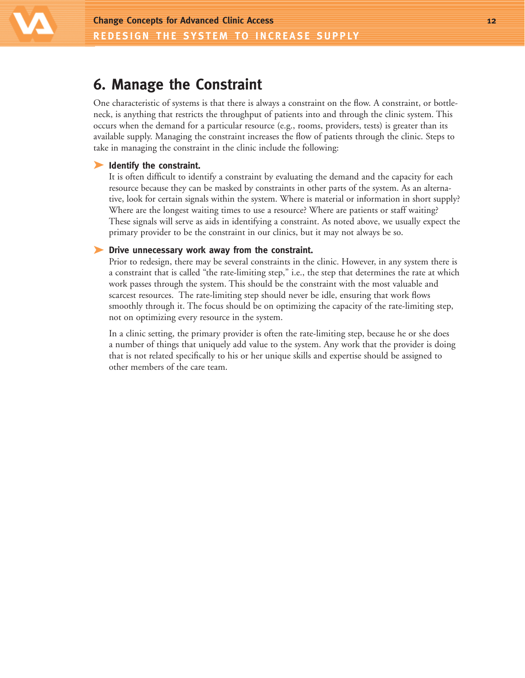

## **6. Manage the Constraint**

One characteristic of systems is that there is always a constraint on the flow. A constraint, or bottleneck, is anything that restricts the throughput of patients into and through the clinic system. This occurs when the demand for a particular resource (e.g., rooms, providers, tests) is greater than its available supply. Managing the constraint increases the flow of patients through the clinic. Steps to take in managing the constraint in the clinic include the following:

#### ➤ **Identify the constraint.**

It is often difficult to identify a constraint by evaluating the demand and the capacity for each resource because they can be masked by constraints in other parts of the system. As an alternative, look for certain signals within the system. Where is material or information in short supply? Where are the longest waiting times to use a resource? Where are patients or staff waiting? These signals will serve as aids in identifying a constraint. As noted above, we usually expect the primary provider to be the constraint in our clinics, but it may not always be so.

#### ➤ **Drive unnecessary work away from the constraint.**

Prior to redesign, there may be several constraints in the clinic. However, in any system there is a constraint that is called "the rate-limiting step," i.e., the step that determines the rate at which work passes through the system. This should be the constraint with the most valuable and scarcest resources. The rate-limiting step should never be idle, ensuring that work flows smoothly through it. The focus should be on optimizing the capacity of the rate-limiting step, not on optimizing every resource in the system.

In a clinic setting, the primary provider is often the rate-limiting step, because he or she does a number of things that uniquely add value to the system. Any work that the provider is doing that is not related specifically to his or her unique skills and expertise should be assigned to other members of the care team.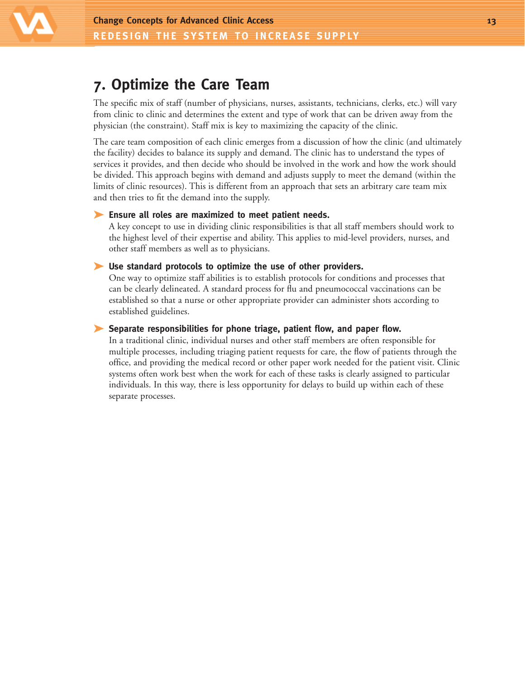

## **7. Optimize the Care Team**

The specific mix of staff (number of physicians, nurses, assistants, technicians, clerks, etc.) will vary from clinic to clinic and determines the extent and type of work that can be driven away from the physician (the constraint). Staff mix is key to maximizing the capacity of the clinic.

The care team composition of each clinic emerges from a discussion of how the clinic (and ultimately the facility) decides to balance its supply and demand. The clinic has to understand the types of services it provides, and then decide who should be involved in the work and how the work should be divided. This approach begins with demand and adjusts supply to meet the demand (within the limits of clinic resources). This is different from an approach that sets an arbitrary care team mix and then tries to fit the demand into the supply.

#### ➤ **Ensure all roles are maximized to meet patient needs.**

A key concept to use in dividing clinic responsibilities is that all staff members should work to the highest level of their expertise and ability. This applies to mid-level providers, nurses, and other staff members as well as to physicians.

#### ➤ **Use standard protocols to optimize the use of other providers.**

One way to optimize staff abilities is to establish protocols for conditions and processes that can be clearly delineated. A standard process for flu and pneumococcal vaccinations can be established so that a nurse or other appropriate provider can administer shots according to established guidelines.

#### ➤ **Separate responsibilities for phone triage, patient flow, and paper flow.**

In a traditional clinic, individual nurses and other staff members are often responsible for multiple processes, including triaging patient requests for care, the flow of patients through the office, and providing the medical record or other paper work needed for the patient visit. Clinic systems often work best when the work for each of these tasks is clearly assigned to particular individuals. In this way, there is less opportunity for delays to build up within each of these separate processes.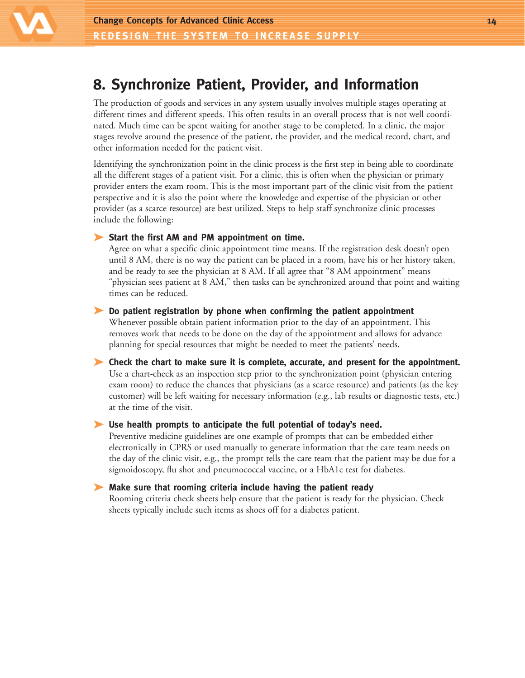

## **8. Synchronize Patient, Provider, and Information**

The production of goods and services in any system usually involves multiple stages operating at different times and different speeds. This often results in an overall process that is not well coordinated. Much time can be spent waiting for another stage to be completed. In a clinic, the major stages revolve around the presence of the patient, the provider, and the medical record, chart, and other information needed for the patient visit.

Identifying the synchronization point in the clinic process is the first step in being able to coordinate all the different stages of a patient visit. For a clinic, this is often when the physician or primary provider enters the exam room. This is the most important part of the clinic visit from the patient perspective and it is also the point where the knowledge and expertise of the physician or other provider (as a scarce resource) are best utilized. Steps to help staff synchronize clinic processes include the following:

#### ➤ **Start the first AM and PM appointment on time.**

Agree on what a specific clinic appointment time means. If the registration desk doesn't open until 8 AM, there is no way the patient can be placed in a room, have his or her history taken, and be ready to see the physician at 8 AM. If all agree that "8 AM appointment" means "physician sees patient at 8 AM," then tasks can be synchronized around that point and waiting times can be reduced.

#### ➤ **Do patient registration by phone when confirming the patient appointment**

Whenever possible obtain patient information prior to the day of an appointment. This removes work that needs to be done on the day of the appointment and allows for advance planning for special resources that might be needed to meet the patients' needs.

➤ **Check the chart to make sure it is complete, accurate, and present for the appointment.** Use a chart-check as an inspection step prior to the synchronization point (physician entering exam room) to reduce the chances that physicians (as a scarce resource) and patients (as the key customer) will be left waiting for necessary information (e.g., lab results or diagnostic tests, etc.) at the time of the visit.

#### ➤ **Use health prompts to anticipate the full potential of today's need.**

Preventive medicine guidelines are one example of prompts that can be embedded either electronically in CPRS or used manually to generate information that the care team needs on the day of the clinic visit, e.g., the prompt tells the care team that the patient may be due for a sigmoidoscopy, flu shot and pneumococcal vaccine, or a HbA1c test for diabetes.

#### ➤ **Make sure that rooming criteria include having the patient ready**

Rooming criteria check sheets help ensure that the patient is ready for the physician. Check sheets typically include such items as shoes off for a diabetes patient.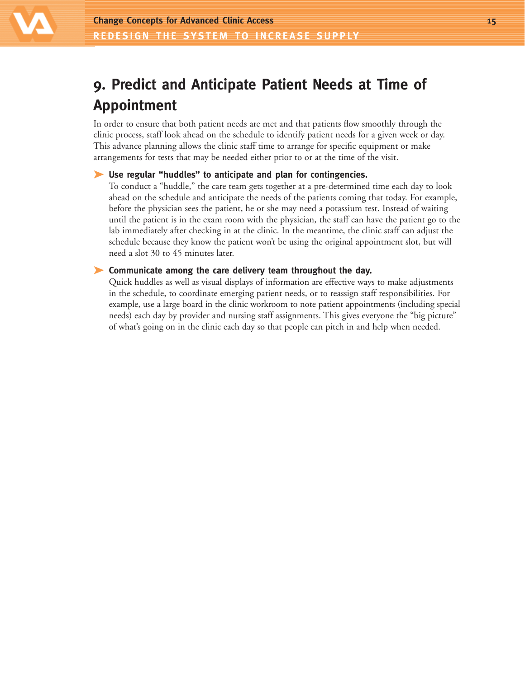

## **9. Predict and Anticipate Patient Needs at Time of Appointment**

In order to ensure that both patient needs are met and that patients flow smoothly through the clinic process, staff look ahead on the schedule to identify patient needs for a given week or day. This advance planning allows the clinic staff time to arrange for specific equipment or make arrangements for tests that may be needed either prior to or at the time of the visit.

#### ➤ **Use regular "huddles" to anticipate and plan for contingencies.**

To conduct a "huddle," the care team gets together at a pre-determined time each day to look ahead on the schedule and anticipate the needs of the patients coming that today. For example, before the physician sees the patient, he or she may need a potassium test. Instead of waiting until the patient is in the exam room with the physician, the staff can have the patient go to the lab immediately after checking in at the clinic. In the meantime, the clinic staff can adjust the schedule because they know the patient won't be using the original appointment slot, but will need a slot 30 to 45 minutes later.

#### ➤ **Communicate among the care delivery team throughout the day.**

Quick huddles as well as visual displays of information are effective ways to make adjustments in the schedule, to coordinate emerging patient needs, or to reassign staff responsibilities. For example, use a large board in the clinic workroom to note patient appointments (including special needs) each day by provider and nursing staff assignments. This gives everyone the "big picture" of what's going on in the clinic each day so that people can pitch in and help when needed.